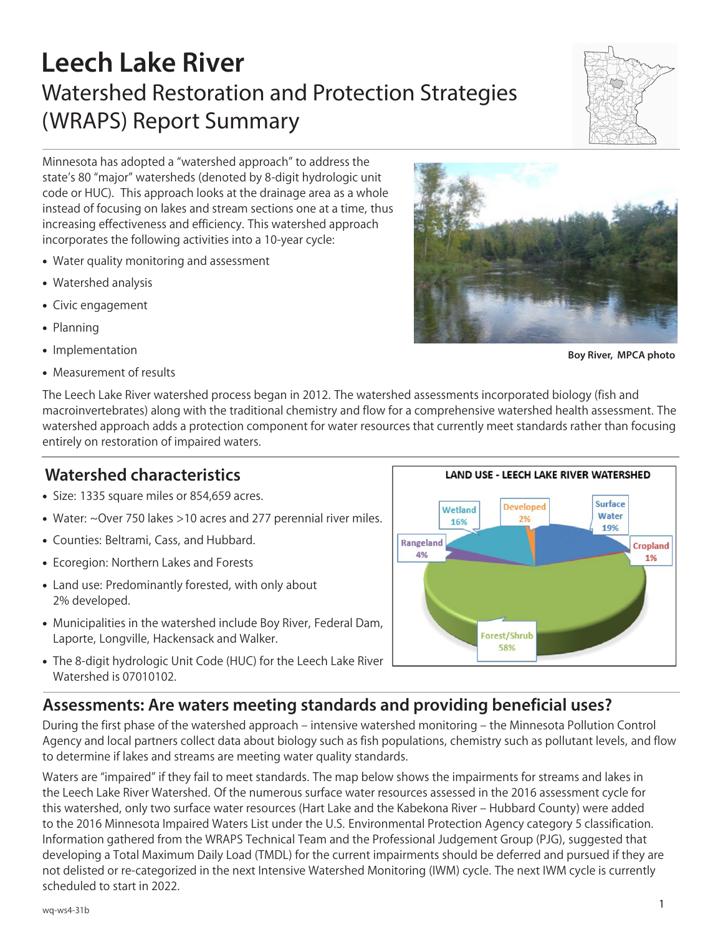# **Leech Lake River** Watershed Restoration and Protection Strategies (WRAPS) Report Summary



**Boy River, MPCA photo**

Minnesota has adopted a "watershed approach" to address the state's 80 "major" watersheds (denoted by 8-digit hydrologic unit code or HUC). This approach looks at the drainage area as a whole instead of focusing on lakes and stream sections one at a time, thus increasing effectiveness and efficiency. This watershed approach incorporates the following activities into a 10-year cycle:

- Water quality monitoring and assessment
- Watershed analysis
- Civic engagement
- Planning
- Implementation
- Measurement of results

The Leech Lake River watershed process began in 2012. The watershed assessments incorporated biology (fish and macroinvertebrates) along with the traditional chemistry and flow for a comprehensive watershed health assessment. The watershed approach adds a protection component for water resources that currently meet standards rather than focusing entirely on restoration of impaired waters.

# **Watershed characteristics**

- Size: 1335 square miles or 854,659 acres.
- Water: ~Over 750 lakes >10 acres and 277 perennial river miles.
- Counties: Beltrami, Cass, and Hubbard.
- Ecoregion: Northern Lakes and Forests
- Land use: Predominantly forested, with only about 2% developed.
- Municipalities in the watershed include Boy River, Federal Dam, Laporte, Longville, Hackensack and Walker.
- The 8-digit hydrologic Unit Code (HUC) for the Leech Lake River Watershed is 07010102.



## **Assessments: Are waters meeting standards and providing beneficial uses?**

During the first phase of the watershed approach – intensive watershed monitoring – the Minnesota Pollution Control Agency and local partners collect data about biology such as fish populations, chemistry such as pollutant levels, and flow to determine if lakes and streams are meeting water quality standards.

Waters are "impaired" if they fail to meet standards. The map below shows the impairments for streams and lakes in the Leech Lake River Watershed. Of the numerous surface water resources assessed in the 2016 assessment cycle for this watershed, only two surface water resources (Hart Lake and the Kabekona River – Hubbard County) were added to the 2016 Minnesota Impaired Waters List under the U.S. Environmental Protection Agency category 5 classification. Information gathered from the WRAPS Technical Team and the Professional Judgement Group (PJG), suggested that developing a Total Maximum Daily Load (TMDL) for the current impairments should be deferred and pursued if they are not delisted or re-categorized in the next Intensive Watershed Monitoring (IWM) cycle. The next IWM cycle is currently scheduled to start in 2022.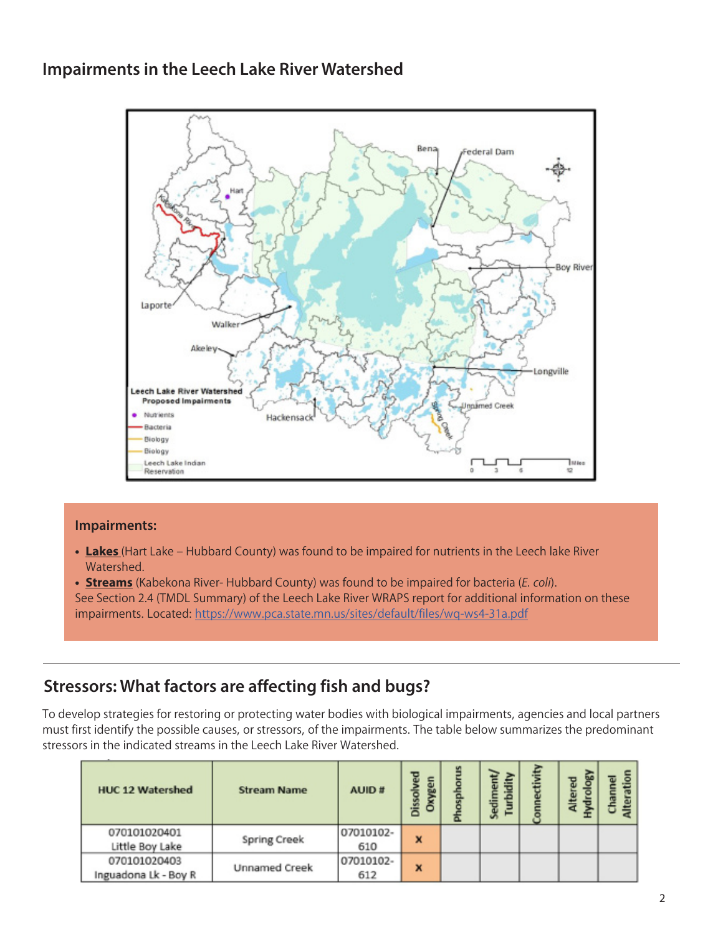#### **Impairments in the Leech Lake River Watershed**



#### **Impairments:**

- **• Lakes** (Hart Lake Hubbard County) was found to be impaired for nutrients in the Leech lake River Watershed.
- **• Streams** (Kabekona River- Hubbard County) was found to be impaired for bacteria (*E. coli*). See Section 2.4 (TMDL Summary) of the Leech Lake River WRAPS report for additional information on these impairments. Located: https://www.pca.state.mn.us/sites/default/files/wq-ws4-31a.pdf

# **Stressors: What factors are affecting fish and bugs?**

To develop strategies for restoring or protecting water bodies with biological impairments, agencies and local partners must first identify the possible causes, or stressors, of the impairments. The table below summarizes the predominant stressors in the indicated streams in the Leech Lake River Watershed.

| <b>HUC 12 Watershed</b>              | <b>Stream Name</b>   | AUID#            | gen<br>Φ<br>Dissol<br>$\tilde{g}$ | Sediment<br>rrbidity | Ŧ | <b>So</b><br>뭅<br>liter | Alteratio<br>hannel |
|--------------------------------------|----------------------|------------------|-----------------------------------|----------------------|---|-------------------------|---------------------|
| 070101020401<br>Little Boy Lake      | <b>Spring Creek</b>  | 07010102-<br>610 | X                                 |                      |   |                         |                     |
| 070101020403<br>Inguadona Lk - Boy R | <b>Unnamed Creek</b> | 07010102-<br>612 | x                                 |                      |   |                         |                     |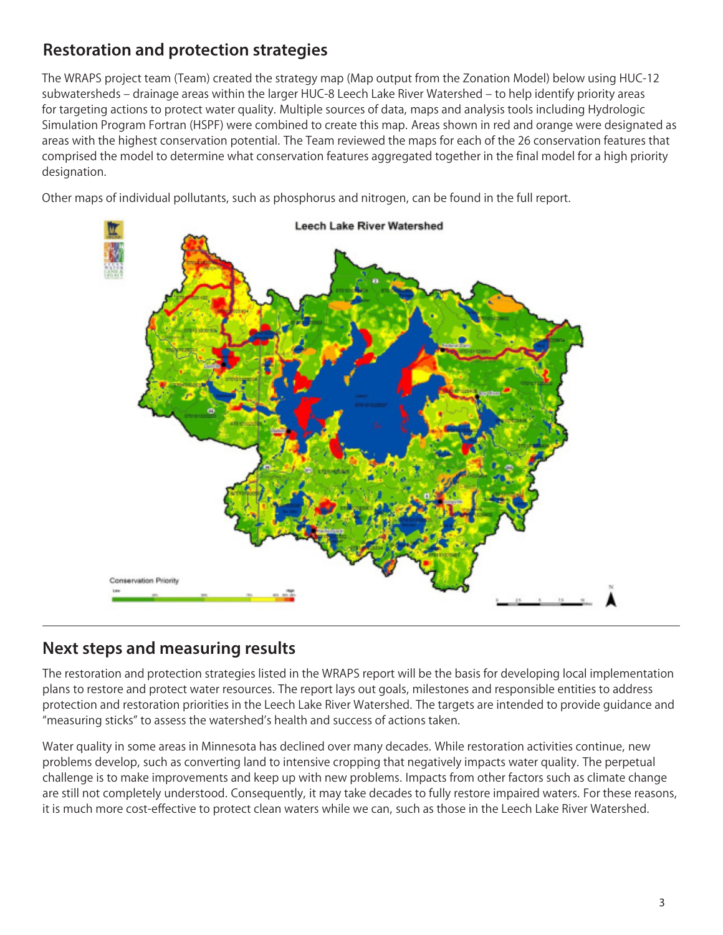# **Restoration and protection strategies**

The WRAPS project team (Team) created the strategy map (Map output from the Zonation Model) below using HUC-12 subwatersheds – drainage areas within the larger HUC-8 Leech Lake River Watershed – to help identify priority areas for targeting actions to protect water quality. Multiple sources of data, maps and analysis tools including Hydrologic Simulation Program Fortran (HSPF) were combined to create this map. Areas shown in red and orange were designated as areas with the highest conservation potential. The Team reviewed the maps for each of the 26 conservation features that comprised the model to determine what conservation features aggregated together in the final model for a high priority designation.

Other maps of individual pollutants, such as phosphorus and nitrogen, can be found in the full report.



## **Next steps and measuring results**

The restoration and protection strategies listed in the WRAPS report will be the basis for developing local implementation plans to restore and protect water resources. The report lays out goals, milestones and responsible entities to address protection and restoration priorities in the Leech Lake River Watershed. The targets are intended to provide guidance and "measuring sticks" to assess the watershed's health and success of actions taken.

Water quality in some areas in Minnesota has declined over many decades. While restoration activities continue, new problems develop, such as converting land to intensive cropping that negatively impacts water quality. The perpetual challenge is to make improvements and keep up with new problems. Impacts from other factors such as climate change are still not completely understood. Consequently, it may take decades to fully restore impaired waters. For these reasons, it is much more cost-effective to protect clean waters while we can, such as those in the Leech Lake River Watershed.